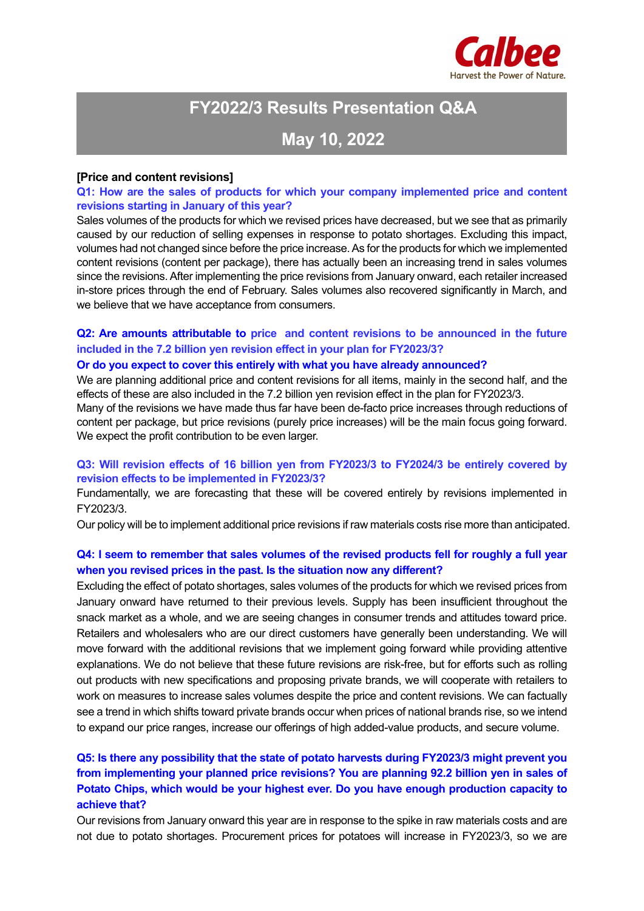

# **FY2022/3 Results Presentation Q&A**

## **May 10, 2022**

#### **[Price and content revisions]**

#### **Q1: How are the sales of products for which your company implemented price and content revisions starting in January of this year?**

Sales volumes of the products for which we revised prices have decreased, but we see that as primarily caused by our reduction of selling expenses in response to potato shortages. Excluding this impact, volumes had not changed since before the price increase. As for the products for which we implemented content revisions (content per package), there has actually been an increasing trend in sales volumes since the revisions. After implementing the price revisions from January onward, each retailer increased in-store prices through the end of February. Sales volumes also recovered significantly in March, and we believe that we have acceptance from consumers.

## **Q2: Are amounts attributable to price and content revisions to be announced in the future included in the 7.2 billion yen revision effect in your plan for FY2023/3?**

#### **Or do you expect to cover this entirely with what you have already announced?**

We are planning additional price and content revisions for all items, mainly in the second half, and the effects of these are also included in the 7.2 billion yen revision effect in the plan for FY2023/3.

Many of the revisions we have made thus far have been de-facto price increases through reductions of content per package, but price revisions (purely price increases) will be the main focus going forward. We expect the profit contribution to be even larger.

#### **Q3: Will revision effects of 16 billion yen from FY2023/3 to FY2024/3 be entirely covered by revision effects to be implemented in FY2023/3?**

Fundamentally, we are forecasting that these will be covered entirely by revisions implemented in FY2023/3.

Our policy will be to implement additional price revisions if raw materials costs rise more than anticipated.

#### **Q4: I seem to remember that sales volumes of the revised products fell for roughly a full year when you revised prices in the past. Is the situation now any different?**

Excluding the effect of potato shortages, sales volumes of the products for which we revised prices from January onward have returned to their previous levels. Supply has been insufficient throughout the snack market as a whole, and we are seeing changes in consumer trends and attitudes toward price. Retailers and wholesalers who are our direct customers have generally been understanding. We will move forward with the additional revisions that we implement going forward while providing attentive explanations. We do not believe that these future revisions are risk-free, but for efforts such as rolling out products with new specifications and proposing private brands, we will cooperate with retailers to work on measures to increase sales volumes despite the price and content revisions. We can factually see a trend in which shifts toward private brands occur when prices of national brands rise, so we intend to expand our price ranges, increase our offerings of high added-value products, and secure volume.

### **Q5: Is there any possibility that the state of potato harvests during FY2023/3 might prevent you from implementing your planned price revisions? You are planning 92.2 billion yen in sales of Potato Chips, which would be your highest ever. Do you have enough production capacity to achieve that?**

Our revisions from January onward this year are in response to the spike in raw materials costs and are not due to potato shortages. Procurement prices for potatoes will increase in FY2023/3, so we are